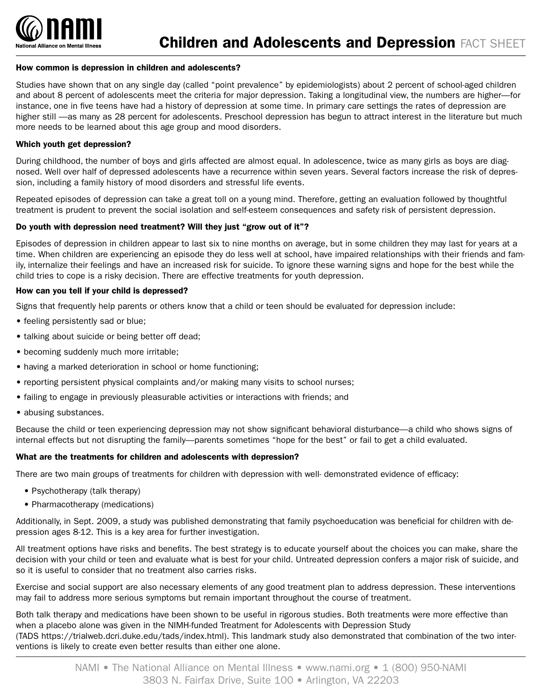

## How common is depression in children and adolescents?

Studies have shown that on any single day (called "point prevalence" by epidemiologists) about 2 percent of school-aged children and about 8 percent of adolescents meet the criteria for major depression. Taking a longitudinal view, the numbers are higher—for instance, one in five teens have had a history of depression at some time. In primary care settings the rates of depression are higher still —as many as 28 percent for adolescents. Preschool depression has begun to attract interest in the literature but much more needs to be learned about this age group and mood disorders.

## Which youth get depression?

During childhood, the number of boys and girls affected are almost equal. In adolescence, twice as many girls as boys are diagnosed. Well over half of depressed adolescents have a recurrence within seven years. Several factors increase the risk of depression, including a family history of mood disorders and stressful life events.

Repeated episodes of depression can take a great toll on a young mind. Therefore, getting an evaluation followed by thoughtful treatment is prudent to prevent the social isolation and self-esteem consequences and safety risk of persistent depression.

#### Do youth with depression need treatment? Will they just "grow out of it"?

Episodes of depression in children appear to last six to nine months on average, but in some children they may last for years at a time. When children are experiencing an episode they do less well at school, have impaired relationships with their friends and family, internalize their feelings and have an increased risk for suicide. To ignore these warning signs and hope for the best while the child tries to cope is a risky decision. There are effective treatments for youth depression.

## How can you tell if your child is depressed?

Signs that frequently help parents or others know that a child or teen should be evaluated for depression include:

- feeling persistently sad or blue;
- talking about suicide or being better off dead;
- becoming suddenly much more irritable;
- having a marked deterioration in school or home functioning;
- reporting persistent physical complaints and/or making many visits to school nurses;
- failing to engage in previously pleasurable activities or interactions with friends; and
- abusing substances.

Because the child or teen experiencing depression may not show significant behavioral disturbance—a child who shows signs of internal effects but not disrupting the family—parents sometimes "hope for the best" or fail to get a child evaluated.

#### What are the treatments for children and adolescents with depression?

There are two main groups of treatments for children with depression with well- demonstrated evidence of efficacy:

- Psychotherapy (talk therapy)
- Pharmacotherapy (medications)

Additionally, in Sept. 2009, a study was published demonstrating that family psychoeducation was beneficial for children with depression ages 8-12. This is a key area for further investigation.

All treatment options have risks and benefits. The best strategy is to educate yourself about the choices you can make, share the decision with your child or teen and evaluate what is best for your child. Untreated depression confers a major risk of suicide, and so it is useful to consider that no treatment also carries risks.

Exercise and social support are also necessary elements of any good treatment plan to address depression. These interventions may fail to address more serious symptoms but remain important throughout the course of treatment.

Both talk therapy and medications have been shown to be useful in rigorous studies. Both treatments were more effective than when a placebo alone was given in the NIMH-funded Treatment for Adolescents with Depression Study (TADS https://trialweb.dcri.duke.edu/tads/index.html). This landmark study also demonstrated that combination of the two interventions is likely to create even better results than either one alone.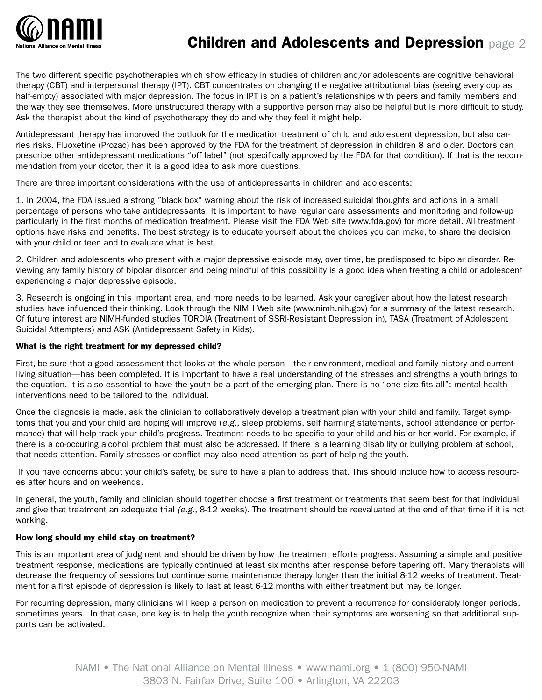

The two different specific psychotherapies which show efficacy in studies of children and/or adolescents are cognitive behavioral therapy (CBT) and interpersonal therapy (IPT). CBT concentrates on changing the negative attributional bias (seeing every cup as half-empty) associated with major depression. The focus in IPT is on a patient's relationships with peers and family members and the way they see themselves. More unstructured therapy with a supportive person may also be helpful but is more difficult to study. Ask the therapist about the kind of psychotherapy they do and why they feel it might help.

Antidepressant therapy has improved the outlook for the medication treatment of child and adolescent depression, but also carries risks. Fluoxetine (Prozac) has been approved by the FDA for the treatment of depression in children 8 and older. Doctors can prescribe other antidepressant medications "off label" (not specifically approved by the FDA for that condition). If that is the recommendation from your doctor, then it is a good idea to ask more questions.

There are three important considerations with the use of antidepressants in children and adolescents:

1. In 2004, the FDA issued a strong "black box" warning about the risk of increased suicidal thoughts and actions in a small percentage of persons who take antidepressants. It is important to have regular care assessments and monitoring and follow-up particularly in the first months of medication treatment. Please visit the FDA Web site (www.fda.gov) for more detail. All treatment options have risks and benefits. The best strategy is to educate yourself about the choices you can make, to share the decision with your child or teen and to evaluate what is best.

2. Children and adolescents who present with a major depressive episode may, over time, be predisposed to bipolar disorder. Reviewing any family history of bipolar disorder and being mindful of this possibility is a good idea when treating a child or adolescent experiencing a major depressive episode.

3. Research is ongoing in this important area, and more needs to be learned. Ask your caregiver about how the latest research studies have influenced their thinking. Look through the NIMH Web site (www.nimh.nih.gov) for a summary of the latest research. Of future interest are NIMH-funded studies TORDIA (Treatment of SSRI-Resistant Depression in), TASA (Treatment of Adolescent Suicidal Attempters) and ASK (Antidepressant Safety in Kids).

# What is the right treatment for my depressed child?

First, be sure that a good assessment that looks at the whole person—their environment, medical and family history and current living situation—has been completed. It is important to have a real understanding of the stresses and strengths a youth brings to the equation. It is also essential to have the youth be a part of the emerging plan. There is no "one size fits all": mental health interventions need to be tailored to the individual.

Once the diagnosis is made, ask the clinician to collaboratively develop a treatment plan with your child and family. Target symptoms that you and your child are hoping will improve (*e.g.,* sleep problems, self harming statements, school attendance or performance) that will help track your child's progress. Treatment needs to be specific to your child and his or her world. For example, if there is a co-occuring alcohol problem that must also be addressed. If there is a learning disability or bullying problem at school, that needs attention. Family stresses or conflict may also need attention as part of helping the youth.

If you have concerns about your child's safety, be sure to have a plan to address that. This should include how to access resources after hours and on weekends.

In general, the youth, family and clinician should together choose a first treatment or treatments that seem best for that individual and give that treatment an adequate trial *(e.g.*, 8-12 weeks). The treatment should be reevaluated at the end of that time if it is not working.

## How long should my child stay on treatment?

This is an important area of judgment and should be driven by how the treatment efforts progress. Assuming a simple and positive treatment response, medications are typically continued at least six months after response before tapering off. Many therapists will decrease the frequency of sessions but continue some maintenance therapy longer than the initial 8-12 weeks of treatment. Treatment for a first episode of depression is likely to last at least 6-12 months with either treatment but may be longer.

For recurring depression, many clinicians will keep a person on medication to prevent a recurrence for considerably longer periods, sometimes years. In that case, one key is to help the youth recognize when their symptoms are worsening so that additional supports can be activated.